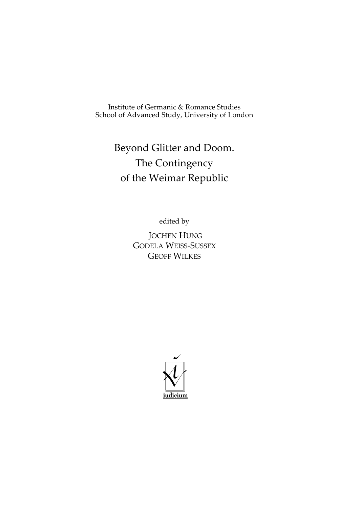Institute of Germanic & Romance Studies School of Advanced Study, University of London

# Beyond Glitter and Doom. The Contingency of the Weimar Republic

edited by

 JOCHEN HUNG GODELA WEISS-SUSSEX GEOFF WILKES

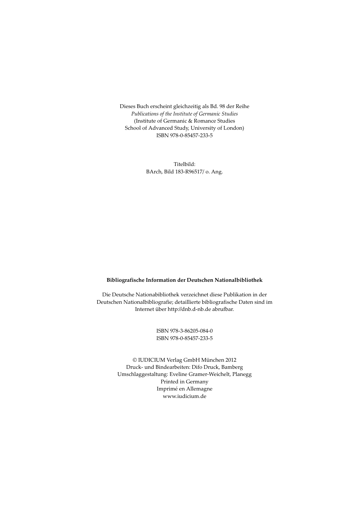Dieses Buch erscheint gleichzeitig als Bd. 98 der Reihe Publications of the Institute of Germanic Studies (Institute of Germanic & Romance Studies School of Advanced Study, University of London) ISBN 978-0-85457-233-5

> Titelbild: BArch, Bild 183-R96517/ o. Ang.

#### Bibliografische Information der Deutschen Nationalbibliothek

Die Deutsche Nationabibliothek verzeichnet diese Publikation in der Deutschen Nationalbibliografie; detaillierte bibliografische Daten sind im Internet über http://dnb.d-nb.de abrufbar.

> ISBN 978-3-86205-084-0 ISBN 978-0-85457-233-5

© IUDICIUM Verlag GmbH München 2012 Druck- und Bindearbeiten: Difo Druck, Bamberg Umschlaggestaltung: Eveline Gramer-Weichelt, Planegg Printed in Germany Imprimé en Allemagne www.iudicium.de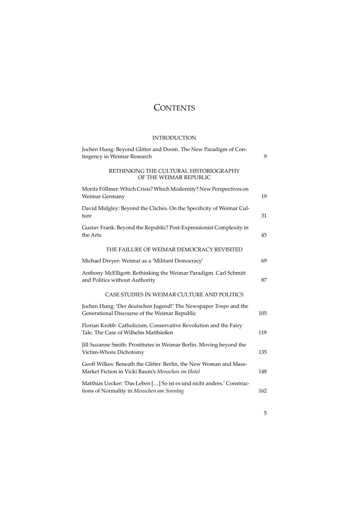## **CONTENTS**

### INTRODUCTION

| Jochen Hung: Beyond Glitter and Doom. The New Paradigm of Con-<br>tingency in Weimar Research                          | 9   |
|------------------------------------------------------------------------------------------------------------------------|-----|
| RETHINKING THE CULTURAL HISTORIOGRAPHY<br>OF THE WEIMAR REPUBLIC                                                       |     |
| Moritz Föllmer: Which Crisis? Which Modernity? New Perspectives on<br>Weimar Germany                                   | 19  |
| David Midgley: Beyond the Clichés. On the Specificity of Weimar Cul-<br>ture                                           | 31  |
| Gustav Frank: Beyond the Republic? Post-Expressionist Complexity in<br>the Arts                                        | 45  |
| THE FAILURE OF WEIMAR DEMOCRACY REVISITED                                                                              |     |
| Michael Dreyer: Weimar as a 'Militant Democracy'                                                                       | 69  |
| Anthony McElligott: Rethinking the Weimar Paradigm. Carl Schmitt<br>and Politics without Authority                     | 87  |
| CASE STUDIES IN WEIMAR CULTURE AND POLITICS                                                                            |     |
| Jochen Hung: 'Der deutschen Jugend!' The Newspaper Tempo and the<br>Generational Discourse of the Weimar Republic      | 105 |
| Florian Krobb: Catholicism, Conservative Revolution and the Fairy<br>Tale. The Case of Wilhelm Matthießen              | 119 |
| Jill Suzanne Smith: Prostitutes in Weimar Berlin. Moving beyond the<br>Victim-Whore Dichotomy                          | 135 |
| Geoff Wilkes: Beneath the Glitter. Berlin, the New Woman and Mass-<br>Market Fiction in Vicki Baum's Menschen im Hotel | 148 |
| Matthias Uecker: 'Das Leben [] So ist es und nicht anders.' Construc-<br>tions of Normality in Menschen am Sonntag     | 162 |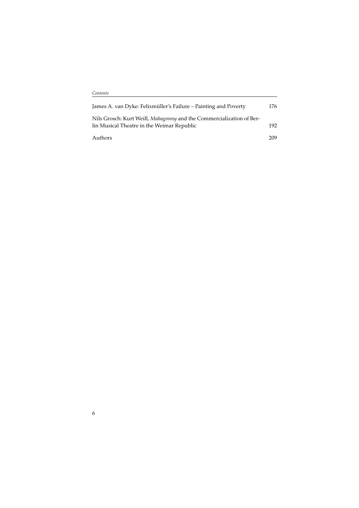| James A. van Dyke: Felixmüller's Failure – Painting and Poverty                                                    | 176 |
|--------------------------------------------------------------------------------------------------------------------|-----|
| Nils Grosch: Kurt Weill, Mahagonny and the Commercialization of Ber-<br>lin Musical Theatre in the Weimar Republic | 192 |
| Authors                                                                                                            | 209 |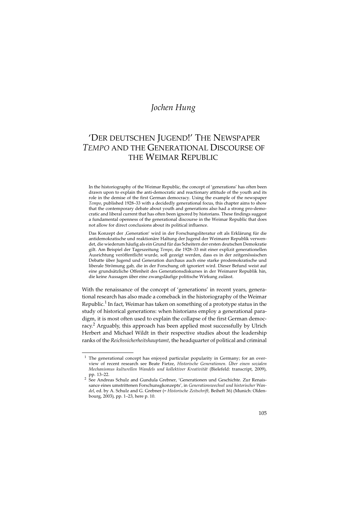### Jochen Hung

## 'DER DEUTSCHEN JUGEND!' THE NEWSPAPER TEMPO AND THE GENERATIONAL DISCOURSE OF THE WEIMAR REPUBLIC

In the historiography of the Weimar Republic, the concept of 'generations' has often been drawn upon to explain the anti-democratic and reactionary attitude of the youth and its role in the demise of the first German democracy. Using the example of the newspaper Tempo, published 1928–33 with a decidedly generational focus, this chapter aims to show that the contemporary debate about youth and generations also had a strong pro-democratic and liberal current that has often been ignored by historians. These findings suggest a fundamental openness of the generational discourse in the Weimar Republic that does not allow for direct conclusions about its political influence.

Das Konzept der 'Generation' wird in der Forschungsliteratur oft als Erklärung für die antidemokratische und reaktionäre Haltung der Jugend der Weimarer Republik verwendet, die wiederum häufig als ein Grund für das Scheitern der ersten deutschen Demokratie gilt. Am Beispiel der Tageszeitung Tempo, die 1928–33 mit einer explizit generationellen Ausrichtung veröffentlicht wurde, soll gezeigt werden, dass es in der zeitgenössischen Debatte über Jugend und Generation durchaus auch eine starke prodemokratische und liberale Strömung gab, die in der Forschung oft ignoriert wird. Dieser Befund weist auf eine grundsätzliche Offenheit des Generationsdiskurses in der Weimarer Republik hin, die keine Aussagen über eine zwangsläufige politische Wirkung zulässt.

With the renaissance of the concept of 'generations' in recent years, generational research has also made a comeback in the historiography of the Weimar Republic.<sup>1</sup> In fact, Weimar has taken on something of a prototype status in the study of historical generations: when historians employ a generational paradigm, it is most often used to explain the collapse of the first German democracy.<sup>2</sup> Arguably, this approach has been applied most successfully by Ulrich Herbert and Michael Wildt in their respective studies about the leadership ranks of the Reichssicherheitshauptamt, the headquarter of political and criminal

 $1$  The generational concept has enjoyed particular popularity in Germany; for an overview of recent research see Beate Fietze, Historische Generationen. Über einen sozialen Mechanismus kulturellen Wandels und kollektiver Kreativität (Bielefeld: transcript, 2009), pp. 13-22.

pp. 13–22. <sup>2</sup> See Andreas Schulz and Gundula Grebner, 'Generationen und Geschichte. Zur Renaissance eines umstrittenen Forschunsgkonzepts', in Generationswechsel und historischer Wandel, ed. by A. Schulz and G. Grebner (= Historische Zeitschrift, Beiheft 36) (Munich: Oldenbourg, 2003), pp. 1–23, here p. 10.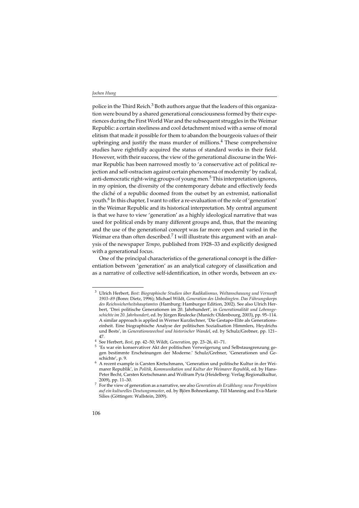police in the Third Reich.<sup>3</sup> Both authors argue that the leaders of this organization were bound by a shared generational consciousness formed by their experiences during the First World War and the subsequent struggles in the Weimar Republic: a certain steeliness and cool detachment mixed with a sense of moral elitism that made it possible for them to abandon the bourgeois values of their upbringing and justify the mass murder of millions.<sup>4</sup> These comprehensive studies have rightfully acquired the status of standard works in their field. However, with their success, the view of the generational discourse in the Weimar Republic has been narrowed mostly to 'a conservative act of political rejection and self-ostracism against certain phenomena of modernity' by radical, anti-democratic right-wing groups of young men.<sup>5</sup> This interpretation ignores, in my opinion, the diversity of the contemporary debate and effectively feeds the cliché of a republic doomed from the outset by an extremist, nationalist youth.<sup>6</sup> In this chapter, I want to offer a re-evaluation of the role of 'generation' in the Weimar Republic and its historical interpretation. My central argument is that we have to view 'generation' as a highly ideological narrative that was used for political ends by many different groups and, thus, that the meaning and the use of the generational concept was far more open and varied in the Weimar era than often described.<sup>7</sup> I will illustrate this argument with an analysis of the newspaper Tempo, published from 1928–33 and explicitly designed with a generational focus.

One of the principal characteristics of the generational concept is the differentiation between 'generation' as an analytical category of classification and as a narrative of collective self-identification, in other words, between an ex-

<sup>3</sup> Ulrich Herbert, Best: Biographische Studien über Radikalismus, Weltanschauung und Vernunft 1903–89 (Bonn: Dietz, 1996); Michael Wildt, Generation des Unbedingten. Das Führungskorps des Reichssicherheitshauptamtes (Hamburg: Hamburger Edition, 2002). See also Ulrich Herbert, 'Drei politische Generationen im 20. Jahrhundert', in Generationalität und Lebensgeschichte im 20. Jahrhundert, ed. by Jürgen Reulecke (Munich: Oldenbourg, 2003), pp. 95–114. A similar approach is applied in Werner Kurzlechner, 'Die Gestapo-Elite als Generationseinheit. Eine biographische Analyse der politischen Sozialisation Himmlers, Heydrichs und Bests', in Generationswechsel und historischer Wandel, ed. by Schulz/Grebner, pp. 121–

<sup>47. 4&</sup>lt;br>4 See Herbert, Best, pp. 42–50; Wildt, Generation, pp. 23–26, 41–71.<br>5 'Es war ein konservativer Akt der politischen Verweigerung und Selbstausgrenzung gegen bestimmte Erscheinungen der Moderne.' Schulz/Grebner, 'Generationen und Ge-

schichte', p. 9. 6 A recent example is Carsten Kretschmann, 'Generation und politische Kultur in der Weimarer Republik', in Politik, Kommunikation und Kultur der Weimarer Republik, ed. by Hans-Peter Becht, Carsten Kretschmann and Wolfram Pyta (Heidelberg: Verlag Regionalkultur, 2009), pp. 11–30.<br><sup>7</sup> For the view of generation as a narrative, see also *Generation als Erzählung: neue Perspektiven* 

auf ein kulturelles Deutungsmuster, ed. by Björn Bohnenkamp, Till Manning and Eva-Marie Silies (Göttingen: Wallstein, 2009).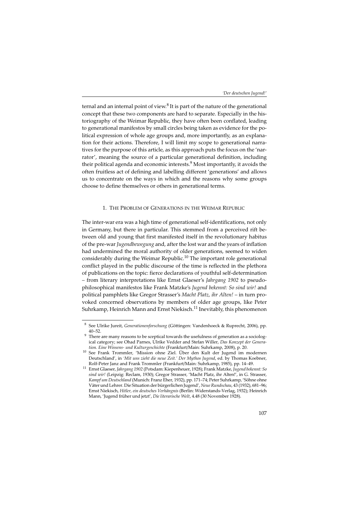ternal and an internal point of view. $^8$  It is part of the nature of the generational concept that these two components are hard to separate. Especially in the historiography of the Weimar Republic, they have often been conflated, leading to generational manifestos by small circles being taken as evidence for the political expression of whole age groups and, more importantly, as an explanation for their actions. Therefore, I will limit my scope to generational narratives for the purpose of this article, as this approach puts the focus on the 'narrator', meaning the source of a particular generational definition, including their political agenda and economic interests.<sup>9</sup> Most importantly, it avoids the often fruitless act of defining and labelling different 'generations' and allows us to concentrate on the ways in which and the reasons why some groups choose to define themselves or others in generational terms.

#### 1. THE PROBLEM OF GENERATIONS IN THE WEIMAR REPUBLIC

The inter-war era was a high time of generational self-identifications, not only in Germany, but there in particular. This stemmed from a perceived rift between old and young that first manifested itself in the revolutionary habitus of the pre-war Jugendbewegung and, after the lost war and the years of inflation had undermined the moral authority of older generations, seemed to widen considerably during the Weimar Republic.<sup>10</sup> The important role generational conflict played in the public discourse of the time is reflected in the plethora of publications on the topic: fierce declarations of youthful self-determination – from literary interpretations like Ernst Glaeser's Jahrgang 1902 to pseudophilosophical manifestos like Frank Matzke's Jugend bekennt: So sind wir! and political pamphlets like Gregor Strasser's Macht Platz, ihr Alten! – in turn provoked concerned observations by members of older age groups, like Peter Suhrkamp, Heinrich Mann and Ernst Niekisch.<sup>11</sup> Inevitably, this phenomenon

<sup>&</sup>lt;sup>8</sup> See Ulrike Jureit, Generationenforschung (Göttingen: Vandenhoeck & Ruprecht, 2006), pp.  $40-52$ 

 $9<sup>9</sup>$  There are many reasons to be sceptical towards the usefulness of generation as a sociological category; see Ohad Parnes, Ulrike Vedder and Stefan Willer, Das Konzept der Genera-

tion. Eine Wissens- und Kulturgeschichte (Frankfurt/Main: Suhrkamp, 2008), p. 20. 10 See Frank Trommler, 'Mission ohne Ziel. Über den Kult der Jugend im modernen Deutschland', in 'Mit uns zieht die neue Zeit.' Der Mythos Jugend, ed. by Thomas Koebner,

Rolf-Peter Janz and Frank Trommler (Frankfurt/Main: Suhrkamp, 1985), pp. 14–49.<br><sup>11</sup> Ernst Glaeser, *Jahrgang 1902* (Potsdam: Kiepenheuer, 1928); Frank Matzke, *Jugend bekennt: So* sind wir! (Leipzig: Reclam, 1930); Gregor Strasser, 'Macht Platz, ihr Alten!', in G. Strasser, Kampf um Deutschland (Munich: Franz Eher, 1932), pp. 171–74; Peter Suhrkamp, 'Söhne ohne Väter und Lehrer. Die Situation der bürgerlichen Jugend', Neue Rundschau, 43 (1932), 681–96; Ernst Niekisch, Hitler, ein deutsches Verhängnis (Berlin: Widerstands-Verlag, 1932); Heinrich Mann, 'Jugend früher und jetzt', Die literarische Welt, 4.48 (30 November 1928).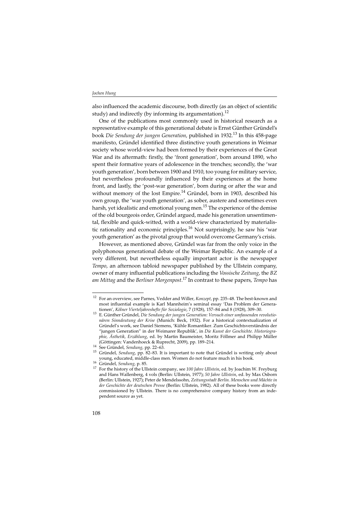also influenced the academic discourse, both directly (as an object of scientific study) and indirectly (by informing its argumentation).<sup>12</sup>

One of the publications most commonly used in historical research as a representative example of this generational debate is Ernst Günther Gründel's book Die Sendung der jungen Generation, published in 1932.<sup>13</sup> In this 458-page manifesto, Gründel identified three distinctive youth generations in Weimar society whose world-view had been formed by their experiences of the Great War and its aftermath: firstly, the 'front generation', born around 1890, who spent their formative years of adolescence in the trenches; secondly, the 'war youth generation', born between 1900 and 1910, too young for military service, but nevertheless profoundly influenced by their experiences at the home front, and lastly, the 'post-war generation', born during or after the war and without memory of the lost Empire.<sup>14</sup> Gründel, born in 1903, described his own group, the 'war youth generation', as sober, austere and sometimes even harsh, yet idealistic and emotional young men.<sup>15</sup> The experience of the demise of the old bourgeois order, Gründel argued, made his generation unsentimental, flexible and quick-witted, with a world-view characterized by materialistic rationality and economic principles.<sup>16</sup> Not surprisingly, he saw his 'war youth generation' as the pivotal group that would overcome Germany's crisis.

However, as mentioned above, Gründel was far from the only voice in the polyphonous generational debate of the Weimar Republic. An example of a very different, but nevertheless equally important actor is the newspaper Tempo, an afternoon tabloid newspaper published by the Ullstein company, owner of many influential publications including the Vossische Zeitung, the BZ am Mittag and the Berliner Morgenpost.<sup>17</sup> In contrast to these papers, Tempo has

<sup>&</sup>lt;sup>12</sup> For an overview, see Parnes, Vedder and Willer, Konzept, pp. 235–48. The best-known and most influential example is Karl Mannheim's seminal essay 'Das Problem der Generationen', Kölner Vierteljahreshefte für Soziologie, 7 (1928), 157–84 and 8 (1928), 309–30.

 $13$  E. Günther Gründel, Die Sendung der jungen Generation: Versuch einer umfassenden revolutionären Sinndeutung der Krise (Munich: Beck, 1932). For a historical contextualization of Gründel's work, see Daniel Siemens, 'Kühle Romantiker. Zum Geschichtsverständnis der "jungen Generation" in der Weimarer Republik', in Die Kunst der Geschichte. Historiographie, Ästhetik, Erzählung, ed. by Martin Baumeister, Moritz Föllmer and Philipp Müller<br>(Göttingen: Vandenhoeck & Ruprecht. 2009). pp. 189–214.

<sup>14</sup> See Gründel, Sendung, pp. 22–63.<br>
<sup>14</sup> See Gründel, Sendung, pp. 22–63.<br>
<sup>15</sup> Gründel, Sendung, pp. 82–83. It is important to note that Gründel is writing only about

young, educated, middle-class men. Women do not feature much in his book.<br><sup>16</sup> Gründel, *Sendung*, p. 85. 17 For the history of the Ullstein company, see 100 Jahre Ullstein, ed. by Joachim W. Freyburg and Hans Wallenberg, 4 vols (Berlin: Ullstein, 1977); 50 Jahre Ullstein, ed. by Max Osborn (Berlin: Ullstein, 1927); Peter de Mendelssohn, Zeitungsstadt Berlin. Menschen und Mächte in der Geschichte der deutschen Presse (Berlin: Ullstein, 1982). All of these books were directly commissioned by Ullstein. There is no comprehensive company history from an independent source as yet.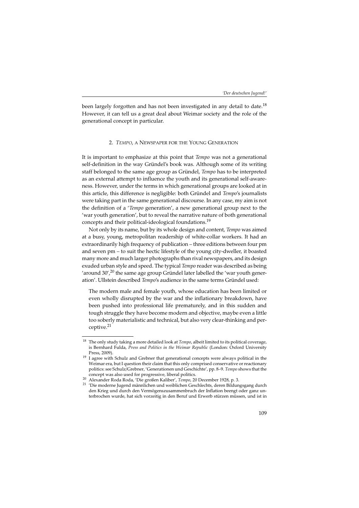been largely forgotten and has not been investigated in any detail to date.<sup>18</sup> However, it can tell us a great deal about Weimar society and the role of the generational concept in particular.

#### 2. TEMPO, A NEWSPAPER FOR THE YOUNG GENERATION

It is important to emphasize at this point that Tempo was not a generational self-definition in the way Gründel's book was. Although some of its writing staff belonged to the same age group as Gründel, Tempo has to be interpreted as an external attempt to influence the youth and its generational self-awareness. However, under the terms in which generational groups are looked at in this article, this difference is negligible: both Gründel and Tempo's journalists were taking part in the same generational discourse. In any case, my aim is not the definition of a 'Tempo generation', a new generational group next to the 'war youth generation', but to reveal the narrative nature of both generational concepts and their political-ideological foundations.<sup>19</sup>

Not only by its name, but by its whole design and content, Tempo was aimed at a busy, young, metropolitan readership of white-collar workers. It had an extraordinarily high frequency of publication – three editions between four pm and seven pm – to suit the hectic lifestyle of the young city-dweller, it boasted many more and much larger photographs than rival newspapers, and its design exuded urban style and speed. The typical Tempo reader was described as being 'around 30',<sup>20</sup> the same age group Gründel later labelled the 'war youth generation'. Ullstein described Tempo's audience in the same terms Gründel used:

The modern male and female youth, whose education has been limited or even wholly disrupted by the war and the inflationary breakdown, have been pushed into professional life prematurely, and in this sudden and tough struggle they have become modern and objective, maybe even a little too soberly materialistic and technical, but also very clear-thinking and perceptive.<sup>21</sup>

 $18$  The only study taking a more detailed look at Tempo, albeit limited to its political coverage, is Bernhard Fulda, Press and Politics in the Weimar Republic (London: Oxford University Press. 2009).

 $19$  I agree with Schulz and Grebner that generational concepts were always political in the Weimar era, but I question their claim that this only comprised conservative or reactionary politics: see Schulz/Grebner, 'Generationen und Geschichte', pp. 8–9. Tempo shows that the

concept was also used for progressive, liberal politics.<br><sup>20</sup> Alexander Roda Roda, 'Die großen Kaliber', *Tempo*, 20 December 1928, p. 3.<br><sup>21</sup> 'Die moderne Jugend männlichen und weiblichen Geschlechts, deren Bildungsgang d den Krieg und durch den Vermögenszusammenbruch der Inflation beengt oder ganz unterbrochen wurde, hat sich vorzeitig in den Beruf und Erwerb stürzen müssen, und ist in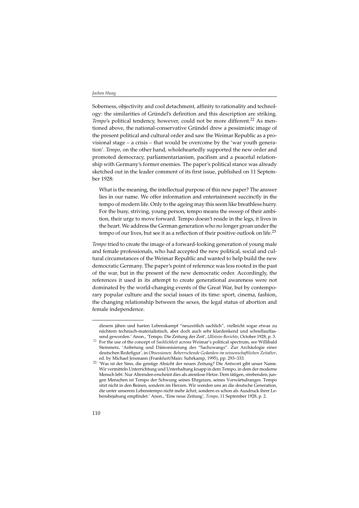Soberness, objectivity and cool detachment, affinity to rationality and technology: the similarities of Gründel's definition and this description are striking. Tempo's political tendency, however, could not be more different.<sup>22</sup> As mentioned above, the national-conservative Gründel drew a pessimistic image of the present political and cultural order and saw the Weimar Republic as a provisional stage – a crisis – that would be overcome by the 'war youth generation'. Tempo, on the other hand, wholeheartedly supported the new order and promoted democracy, parliamentarianism, pacifism and a peaceful relationship with Germany's former enemies. The paper's political stance was already sketched out in the leader comment of its first issue, published on 11 September 1928:

What is the meaning, the intellectual purpose of this new paper? The answer lies in our name. We offer information and entertainment succinctly in the tempo of modern life. Only to the ageing may this seem like breathless hurry. For the busy, striving, young person, tempo means the sweep of their ambition, their urge to move forward. Tempo doesn't reside in the legs, it lives in the heart. We address the German generation who no longer groan under the tempo of our lives, but see it as a reflection of their positive outlook on life.<sup>23</sup>

Tempo tried to create the image of a forward-looking generation of young male and female professionals, who had accepted the new political, social and cultural circumstances of the Weimar Republic and wanted to help build the new democratic Germany. The paper's point of reference was less rooted in the past of the war, but in the present of the new democratic order. Accordingly, the references it used in its attempt to create generational awareness were not dominated by the world-changing events of the Great War, but by contemporary popular culture and the social issues of its time: sport, cinema, fashion, the changing relationship between the sexes, the legal status of abortion and female independence.

<sup>22</sup> diesem jähen und harten Lebenskampf "neuzeitlich sachlich", vielleicht sogar etwas zu nüchtern technisch-materialistisch, aber doch auch sehr klardenkend und schnellauffas-

send geworden.' Anon., 'Tempo. Die Zeitung der Zeit', Ullstein-Berichte, October 1928, p. 3.<br><sup>22</sup> For the use of the concept of *Sachlichkeit* across Weimar's political spectrum, see Willibald Steinmetz, 'Anbetung und Dämonisierung des "Sachzwangs". Zur Archäologie einer deutschen Redefigur', in Obsessionen. Beherrschende Gedanken im wissenschaftlichen Zeitalter,

ed. by Michael Jeismann (Frankfurt/Main: Suhrkamp, 1995), pp. 293–333. <sup>23</sup> 'Was ist der Sinn, die geistige Absicht der neuen Zeitung? Die Antwort gibt unser Name. Wir vermitteln Unterrichtung und Unterhaltung knapp in dem Tempo, in dem der moderne Mensch lebt. Nur Alternden erscheint dies als atemlose Hetze. Dem tätigen, strebenden, jungen Menschen ist Tempo der Schwung seines Ehrgeizes, seines Vorwärtsdranges. Tempo sitzt nicht in den Beinen, sondern im Herzen. Wir wenden uns an die deutsche Generation, die unter unserem Lebenstempo nicht mehr ächzt, sondern es schon als Ausdruck ihrer Lebensbejahung empfindet.' Anon., 'Eine neue Zeitung', Tempo, 11 September 1928, p. 2.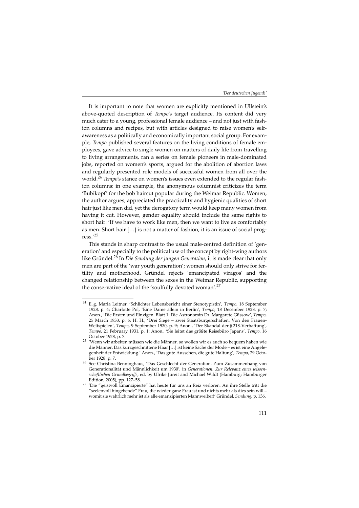It is important to note that women are explicitly mentioned in Ullstein's above-quoted description of Tempo's target audience. Its content did very much cater to a young, professional female audience – and not just with fashion columns and recipes, but with articles designed to raise women's selfawareness as a politically and economically important social group. For example, Tempo published several features on the living conditions of female employees, gave advice to single women on matters of daily life from travelling to living arrangements, ran a series on female pioneers in male-dominated jobs, reported on women's sports, argued for the abolition of abortion laws and regularly presented role models of successful women from all over the world.<sup>24</sup> Tempo's stance on women's issues even extended to the regular fashion columns: in one example, the anonymous columnist criticizes the term 'Bubikopf' for the bob haircut popular during the Weimar Republic. Women, the author argues, appreciated the practicality and hygienic qualities of short hair just like men did, yet the derogatory term would keep many women from having it cut. However, gender equality should include the same rights to short hair: 'If we have to work like men, then we want to live as comfortably as men. Short hair […] is not a matter of fashion, it is an issue of social progress.'<sup>25</sup>

This stands in sharp contrast to the usual male-centred definition of 'generation' and especially to the political use of the concept by right-wing authors like Gründel.<sup>26</sup> In Die Sendung der jungen Generation, it is made clear that only men are part of the 'war youth generation'; women should only strive for fertility and motherhood. Gründel rejects 'emancipated viragos' and the changed relationship between the sexes in the Weimar Republic, supporting the conservative ideal of the 'soulfully devoted woman'.<sup>27</sup>

<sup>24</sup> E.g. Maria Leitner, 'Schlichter Lebensbericht einer Stenotypistin', Tempo, 18 September 1928, p. 4; Charlotte Pol, 'Eine Dame allein in Berlin', Tempo, 18 December 1928, p. 7; Anon., 'Die Ersten und Einzigen. Blatt 1: Die Astronomin Dr. Margarete Güssow', Tempo, 25 March 1933, p. 6; H. H., 'Drei Siege – zwei Staatsbürgerschaften. Von den Frauen-Weltspielen', Tempo, 9 September 1930, p. 9; Anon., 'Der Skandal der § 218-Verhaftung', Tempo, 21 February 1931, p. 1; Anon., 'Sie leitet das größte Reisebüro Japans', Tempo, 16 October 1928, p. 7.

<sup>&</sup>lt;sup>25</sup> 'Wenn wir arbeiten müssen wie die Männer, so wollen wir es auch so bequem haben wie die Männer. Das kurzgeschnittene Haar […] ist keine Sache der Mode – es ist eine Angelegenheit der Entwicklung.' Anon., 'Das gute Aussehen, die gute Haltung', Tempo, 29 Octo-

ber 1928, p. 7. 26 See Christina Benninghaus, 'Das Geschlecht der Generation. Zum Zusammenhang von Generationalität und Männlichkeit um 1930', in Generationen. Zur Relevanz eines wissenschaftlichen Grundbegriffs, ed. by Ulrike Jureit and Michael Wildt (Hamburg: Hamburger

Edition, 2005), pp. 127–58.<br><sup>27</sup> 'Die "geistvoll Emanzipierte" hat heute für uns an Reiz verloren. An ihre Stelle tritt die "seelenvoll hingebende" Frau, die wieder ganz Frau ist und nichts mehr als dies sein will – womit sie wahrlich mehr ist als alle emanzipierten Mannweiber!' Gründel, Sendung, p. 136.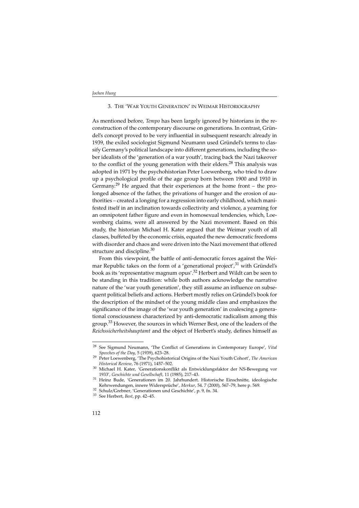#### 3. THE 'WAR YOUTH GENERATION' IN WEIMAR HISTORIOGRAPHY

As mentioned before, Tempo has been largely ignored by historians in the reconstruction of the contemporary discourse on generations. In contrast, Gründel's concept proved to be very influential in subsequent research: already in 1939, the exiled sociologist Sigmund Neumann used Gründel's terms to classify Germany's political landscape into different generations, including the sober idealists of the 'generation of a war youth', tracing back the Nazi takeover to the conflict of the young generation with their elders.<sup>28</sup> This analysis was adopted in 1971 by the psychohistorian Peter Loewenberg, who tried to draw up a psychological profile of the age group born between 1900 and 1910 in Germany.<sup>29</sup> He argued that their experiences at the home front – the prolonged absence of the father, the privations of hunger and the erosion of authorities – created a longing for a regression into early childhood, which manifested itself in an inclination towards collectivity and violence, a yearning for an omnipotent father figure and even in homosexual tendencies, which, Loewenberg claims, were all answered by the Nazi movement. Based on this study, the historian Michael H. Kater argued that the Weimar youth of all classes, buffeted by the economic crisis, equated the new democratic freedoms with disorder and chaos and were driven into the Nazi movement that offered structure and discipline.<sup>30</sup>

From this viewpoint, the battle of anti-democratic forces against the Weimar Republic takes on the form of a 'generational project', $31$  with Gründel's book as its 'representative magnum opus'.32 Herbert and Wildt can be seen to be standing in this tradition: while both authors acknowledge the narrative nature of the 'war youth generation', they still assume an influence on subsequent political beliefs and actions. Herbert mostly relies on Gründel's book for the description of the mindset of the young middle class and emphasizes the significance of the image of the 'war youth generation' in coalescing a generational consciousness characterized by anti-democratic radicalism among this group.33 However, the sources in which Werner Best, one of the leaders of the Reichssicherheitshauptamt and the object of Herbert's study, defines himself as

<sup>&</sup>lt;sup>28</sup> See Sigmund Neumann, 'The Conflict of Generations in Contemporary Europe', Vital Speeches of the Day, 5 (1939), 623–28.

<sup>&</sup>lt;sup>29</sup> Peter Loewenberg, 'The Psychohistorical Origins of the Nazi Youth Cohort', The American Historical Review, 76 (1971), 1457–502.

 $^{30}$  Michael H. Kater, 'Generationskonflikt als Entwicklungsfaktor der NS-Bewegung vor

<sup>1933&#</sup>x27;, Geschichte und Gesellschaft, 11 (1985), 217–43. <sup>31</sup> Heinz Bude, 'Generationen im 20. Jahrhundert. Historische Einschnitte, ideologische Kehrwendungen, innere Widersprüche', Merkur, 54. 7 (2000), 567–79, here p. 569.<br><sup>32</sup> Schulz/Grebner, 'Generationen und Geschichte', p. 9, fn. 34.<br><sup>33</sup> See Herbert, Best, pp. 42–45.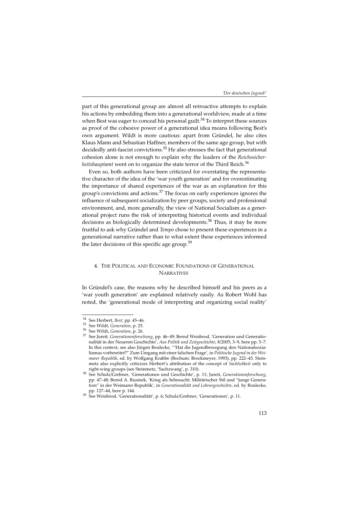part of this generational group are almost all retroactive attempts to explain his actions by embedding them into a generational worldview, made at a time when Best was eager to conceal his personal guilt.<sup>34</sup> To interpret these sources as proof of the cohesive power of a generational idea means following Best's own argument. Wildt is more cautious: apart from Gründel, he also cites Klaus Mann and Sebastian Haffner, members of the same age group, but with decidedly anti-fascist convictions. $35$  He also stresses the fact that generational cohesion alone is not enough to explain why the leaders of the Reichssicherheitshauptamt went on to organize the state terror of the Third Reich.<sup>36</sup>

Even so, both authors have been criticized for overstating the representative character of the idea of the 'war youth generation' and for overestimating the importance of shared experiences of the war as an explanation for this group's convictions and actions.37 The focus on early experiences ignores the influence of subsequent socialization by peer groups, society and professional environment, and, more generally, the view of National Socialism as a generational project runs the risk of interpreting historical events and individual decisions as biologically determined developments.38 Thus, it may be more fruitful to ask why Gründel and Tempo chose to present these experiences in a generational narrative rather than to what extent these experiences informed the later decisions of this specific age group.<sup>39</sup>

#### 4. THE POLITICAL AND ECONOMIC FOUNDATIONS OF GENERATIONAL **NARRATIVES**

In Gründel's case, the reasons why he described himself and his peers as a 'war youth generation' are explained relatively easily. As Robert Wohl has noted, the 'generational mode of interpreting and organizing social reality'

<sup>&</sup>lt;sup>34</sup> See Herbert, *Best*, pp. 45–46.<br><sup>35</sup> See Wildt, *Generation*, p. 25.<br><sup>36</sup> See Wildt, *Generationenforschung*, pp. 46–49; Bernd Weisbrod, 'Generation und Generatio-<br><sup>37</sup> See Iureit, *Generationenforschung*, pp. 46–49; nalität in der Neueren Geschichte', Aus Politik und Zeitgeschichte, 8/2005, 3–9, here pp. 5–7. In this context, see also Jürgen Reulecke, '"Hat die Jugendbewegung den Nationalsozialismus vorbereitet?" Zum Umgang mit einer falschen Frage', in Politische Jugend in der Weimarer Republik, ed. by Wolfgang Krabbe (Bochum: Brockmeyer, 1993), pp. 222–43. Steinmetz also explicitly criticizes Herbert's attribution of the concept of *Sachlichkeit* only to right-wing groups (see Steinmetz, 'Sachzwang', p. 310).

<sup>&</sup>lt;sup>38</sup> See Schulz/Grebner, 'Generationen und Geschichte', p. 11; Jureit, Generationenforschung, pp. 47–48; Bernd A. Rusinek, 'Krieg als Sehnsucht. Militärischer Stil und "junge Generation" in der Weimarer Republik', in Generationalität und Lebensgeschichte, ed. by Reulecke, pp. 127–44, here p. 144. 39 See Weisbrod, 'Generationalität', p. 6; Schulz/Grebner, 'Generationen', p. 11.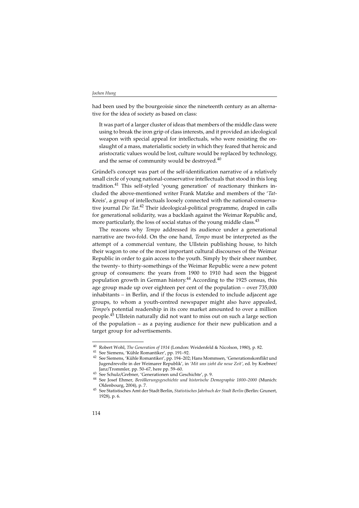had been used by the bourgeoisie since the nineteenth century as an alternative for the idea of society as based on class:

It was part of a larger cluster of ideas that members of the middle class were using to break the iron grip of class interests, and it provided an ideological weapon with special appeal for intellectuals, who were resisting the onslaught of a mass, materialistic society in which they feared that heroic and aristocratic values would be lost, culture would be replaced by technology, and the sense of community would be destroyed. $40$ 

Gründel's concept was part of the self-identification narrative of a relatively small circle of young national-conservative intellectuals that stood in this long tradition.<sup>41</sup> This self-styled 'young generation' of reactionary thinkers included the above-mentioned writer Frank Matzke and members of the 'Tat-Kreis', a group of intellectuals loosely connected with the national-conservative journal Die Tat.<sup>42</sup> Their ideological-political programme, draped in calls for generational solidarity, was a backlash against the Weimar Republic and, more particularly, the loss of social status of the young middle class.<sup>43</sup>

The reasons why Tempo addressed its audience under a generational narrative are two-fold. On the one hand, Tempo must be interpreted as the attempt of a commercial venture, the Ullstein publishing house, to hitch their wagon to one of the most important cultural discourses of the Weimar Republic in order to gain access to the youth. Simply by their sheer number, the twenty- to thirty-somethings of the Weimar Republic were a new potent group of consumers: the years from 1900 to 1910 had seen the biggest population growth in German history.<sup>44</sup> According to the 1925 census, this age group made up over eighteen per cent of the population – over 735,000 inhabitants – in Berlin, and if the focus is extended to include adjacent age groups, to whom a youth-centred newspaper might also have appealed, Tempo's potential readership in its core market amounted to over a million people.45 Ullstein naturally did not want to miss out on such a large section of the population – as a paying audience for their new publication and a target group for advertisements.

<sup>&</sup>lt;sup>40</sup> Robert Wohl, *The Generation of 1914* (London: Weidenfeld & Nicolson, 1980), p. 82.<br><sup>41</sup> See Siemens, 'Kühle Romantiker', pp. 191–92.<br><sup>42</sup> See Siemens, 'Kühle Romantiker', pp. 194–202; Hans Mommsen, 'Generationskonfl Jugendrevolte in der Weimarer Republik', in 'Mit uns zieht die neue Zeit', ed. by Koebner/<br>Janz/Trommler, pp. 50–67, here pp. 59–60.

Janz/Trommler, pp. 50–67, here pp. 59–60. <sup>43</sup> See Schulz/Grebner, 'Generationen und Geschichte', p. 9. <sup>44</sup> See Josef Ehmer, Bevölkerungsgeschichte und historische Demographie 1800–2000 (Munich:

Oldenbourg, 2004), p. 7. <sup>45</sup> See Statistisches Amt der Stadt Berlin, Statistisches Jahrbuch der Stadt Berlin (Berlin: Grunert, 1928), p. 6.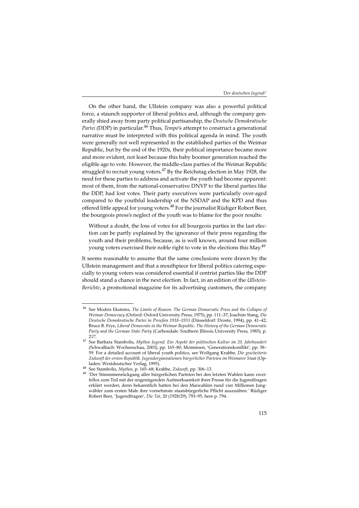On the other hand, the Ullstein company was also a powerful political force, a staunch supporter of liberal politics and, although the company generally shied away from party political partisanship, the Deutsche Demokratische Partei (DDP) in particular.<sup>46</sup> Thus, *Tempo's* attempt to construct a generational narrative must be interpreted with this political agenda in mind. The youth were generally not well represented in the established parties of the Weimar Republic, but by the end of the 1920s, their political importance became more and more evident, not least because this baby boomer generation reached the eligible age to vote. However, the middle-class parties of the Weimar Republic struggled to recruit young voters. $^{47}$  By the Reichstag election in May 1928, the need for these parties to address and activate the youth had become apparent: most of them, from the national-conservative DNVP to the liberal parties like the DDP, had lost votes. Their party executives were particularly over-aged compared to the youthful leadership of the NSDAP and the KPD and thus offered little appeal for young voters.<sup>48</sup> For the journalist Rüdiger Robert Beer, the bourgeois press's neglect of the youth was to blame for the poor results:

Without a doubt, the loss of votes for all bourgeois parties in the last election can be partly explained by the ignorance of their press regarding the youth and their problems, because, as is well known, around four million young voters exercised their noble right to vote in the elections this May.<sup>49</sup>

It seems reasonable to assume that the same conclusions were drawn by the Ullstein management and that a mouthpiece for liberal politics catering especially to young voters was considered essential if centrist parties like the DDP should stand a chance in the next election. In fact, in an edition of the Ullstein-Berichte, a promotional magazine for its advertising customers, the company

<sup>&</sup>lt;sup>46</sup> See Modris Eksteins, The Limits of Reason. The German Democratic Press and the Collapse of Weimar Democracy (Oxford: Oxford University Press, 1975), pp. 111–37; Joachim Stang, Die Deutsche Demokratische Partei in Preußen 1918–1933 (Düsseldorf: Droste, 1994), pp. 41–42; Bruce B. Frye, Liberal Democrats in the Weimar Republic. The History of the German Democratic Party and the German State Party (Carbondale: Southern Illinois University Press, 1985), p.

<sup>&</sup>lt;sup>47</sup> See Barbara Stambolis, Mythos Jugend. Ein Aspekt der politischen Kultur im 20. Jahrhundert (Schwalbach: Wochenschau, 2003), pp. 165–80; Mommsen, 'Generationskonflikt', pp. 58– 59. For a detailed account of liberal youth politics, see Wolfgang Krabbe, Die gescheiterte Zukunft der ersten Republik. Jugendorganisationen bürgerlicher Parteien im Weimarer Staat (Op-

laden: Westdeutscher Verlag, 1995).<br><sup>48</sup> See Stambolis, Mythos, p. 165–68; Krabbe, Zukunft, pp. 306–13.<br><sup>49</sup> 'Der Stimmmenrückgang aller bürgerlichen Parteien bei den letzten Wahlen kann zweifellos zum Teil mit der ungenügenden Aufmerksamkeit ihrer Presse für die Jugendfragen erklärt werden; denn bekanntlich hatten bei den Maiwahlen rund vier Millionen Jungwähler zum ersten Male ihre vornehmste staatsbürgerliche Pflicht auszuüben.' Rüdiger Robert Beer, 'Jugendfragen', Die Tat, 20 (1928/29), 793–95, here p. 794.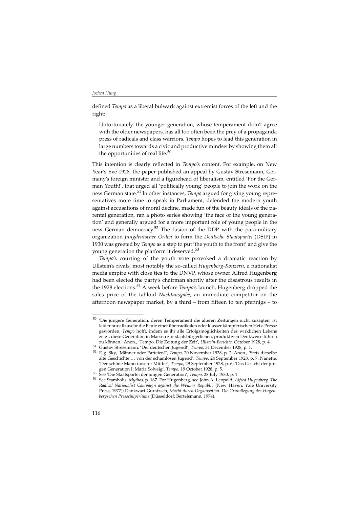defined Tempo as a liberal bulwark against extremist forces of the left and the right:

Unfortunately, the younger generation, whose temperament didn't agree with the older newspapers, has all too often been the prey of a propaganda press of radicals and class warriors. Tempo hopes to lead this generation in large numbers towards a civic and productive mindset by showing them all the opportunities of real life.<sup>50</sup>

This intention is clearly reflected in Tempo's content. For example, on New Year's Eve 1928, the paper published an appeal by Gustav Stresemann, Germany's foreign minister and a figurehead of liberalism, entitled 'For the German Youth!', that urged all 'politically young' people to join the work on the new German state.<sup>51</sup> In other instances, *Tempo* argued for giving young representatives more time to speak in Parliament, defended the modern youth against accusations of moral decline, made fun of the beauty ideals of the parental generation, ran a photo series showing 'the face of the young generation' and generally argued for a more important role of young people in the new German democracy.<sup>52</sup> The fusion of the DDP with the para-military organization Jungdeutscher Orden to form the Deutsche Staatspartei (DStP) in 1930 was greeted by Tempo as a step to put 'the youth to the front' and give the young generation the platform it deserved.<sup>53</sup>

Tempo's courting of the youth vote provoked a dramatic reaction by Ullstein's rivals, most notably the so-called Hugenberg-Konzern, a nationalist media empire with close ties to the DNVP, whose owner Alfred Hugenberg had been elected the party's chairman shortly after the disastrous results in the 1928 elections.<sup>54</sup> A week before *Tempo's* launch, Hugenberg dropped the sales price of the tabloid Nachtausgabe, an immediate competitor on the afternoon newspaper market, by a third – from fifteen to ten pfennigs – to

<sup>&</sup>lt;sup>50</sup> 'Die jüngere Generation, deren Temperament die älteren Zeitungen nicht zusagten, ist leider nur allzusehr die Beute einer überradikalen oder klassenkämpferischen Hetz-Presse geworden. Tempo hofft, indem es ihr alle Erfolgsmöglichkeiten des wirklichen Lebens zeigt, diese Generation in Massen zur staatsbürgerlichen, produktiven Denkweise führen<br>zu können.' Anon.. Tempo. Die Zeitung der Zeit'. Ullstein-Berichte. October 1928. p. 4.

<sup>&</sup>lt;sup>51</sup> Gustav Stresemann, 'Der deutschen Jugend!', *Tempo*, 31 December 1928, p. 1.<br><sup>52</sup> E. g. Sky, 'Männer oder Parteien?', *Tempo*, 20 November 1928, p. 2; Anon., 'Stets dieselbe alte Geschichte … von der schamlosen Jugend', Tempo, 24 September 1928, p. 7; Nanette, 'Der schöne Mann unserer Mütter', Tempo, 29 September 1928, p. 6; 'Das Gesicht der jun-

gen Generation I: Maria Solveig', Tempo, 19 October 1928, p. 5.<br><sup>53</sup> See 'Die Staatspartei der jungen Generation', Tempo, 28 July 1930, p. 1.<br><sup>54</sup> See Stambolis, Mythos, p. 167. For Hugenberg, see John A. Leopold, *Alfred* Radical Nationalist Campaign against the Weimar Republic (New Haven: Yale University Press, 1977); Dankwart Guratzsch, Macht durch Organisation. Die Grundlegung des Hugenbergschen Presseimperiums (Düsseldorf: Bertelsmann, 1974).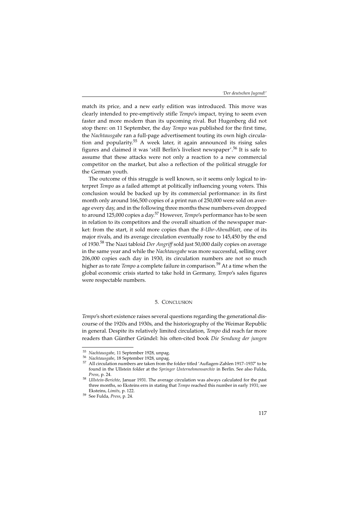match its price, and a new early edition was introduced. This move was clearly intended to pre-emptively stifle Tempo's impact, trying to seem even faster and more modern than its upcoming rival. But Hugenberg did not stop there: on 11 September, the day Tempo was published for the first time, the Nachtausgabe ran a full-page advertisement touting its own high circulation and popularity.<sup>55</sup> A week later, it again announced its rising sales figures and claimed it was 'still Berlin's liveliest newspaper'.56 It is safe to assume that these attacks were not only a reaction to a new commercial competitor on the market, but also a reflection of the political struggle for the German youth.

The outcome of this struggle is well known, so it seems only logical to interpret Tempo as a failed attempt at politically influencing young voters. This conclusion would be backed up by its commercial performance: in its first month only around 166,500 copies of a print run of 250,000 were sold on average every day, and in the following three months these numbers even dropped to around 125,000 copies a day.<sup>57</sup> However, *Tempo's* performance has to be seen in relation to its competitors and the overall situation of the newspaper market: from the start, it sold more copies than the 8-Uhr-Abendblatt, one of its major rivals, and its average circulation eventually rose to 145,450 by the end of 1930.<sup>58</sup> The Nazi tabloid *Der Angriff* sold just 50,000 daily copies on average in the same year and while the Nachtausgabe was more successful, selling over 206,000 copies each day in 1930, its circulation numbers are not so much higher as to rate *Tempo* a complete failure in comparison.<sup>59</sup> At a time when the global economic crisis started to take hold in Germany, Tempo's sales figures were respectable numbers.

#### 5. CONCLUSION

Tempo's short existence raises several questions regarding the generational discourse of the 1920s and 1930s, and the historiography of the Weimar Republic in general. Despite its relatively limited circulation, Tempo did reach far more readers than Günther Gründel: his often-cited book Die Sendung der jungen

<sup>&</sup>lt;sup>55</sup> Nachtausgabe, 11 September 1928, unpag.<br><sup>56</sup> Nachtausgabe, 18 September 1928, unpag.<br><sup>57</sup> All circulation numbers are taken from the folder titled 'Auflagen-Zahlen 1917–1937' to be found in the Ullstein folder at the Springer Unternehmensarchiv in Berlin. See also Fulda, *Press, p.* 24.  $P$  1931. The average circulation was always calculated for the past Ullstein-Berichte, Januar 1931. The average circulation was always calculated for the past

three months, so Eksteins errs in stating that *Tempo* reached this number in early 1931; see Eksteins, Limits, p. 122. <sup>59</sup> See Fulda, Press, p. 24.